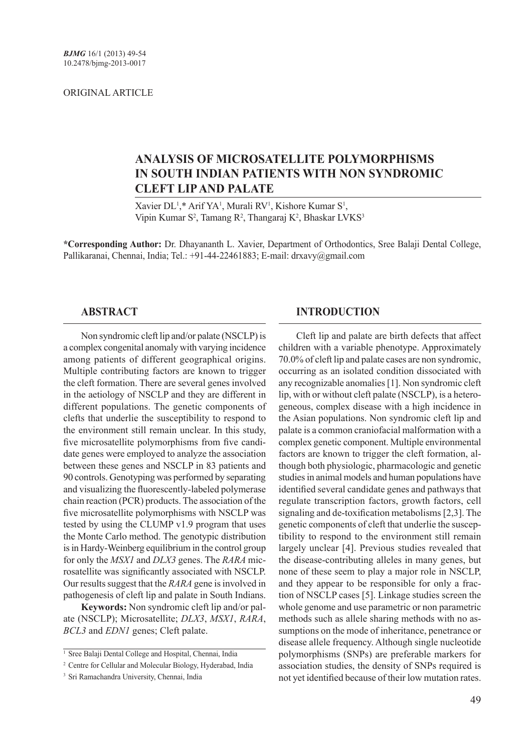#### ORIGINAL ARTICLE

# **ANALYSIS OF MICROSATELLITE POLYMORPHISMS IN SOUTH INDIAN PATIENTS WITH NON SYNDROMIC CLEFT LIP AND PALATE**

Xavier DL<sup>1</sup>,\* Arif YA<sup>1</sup>, Murali RV<sup>1</sup>, Kishore Kumar S<sup>1</sup>, Vipin Kumar S<sup>2</sup>, Tamang R<sup>2</sup>, Thangaraj K<sup>2</sup>, Bhaskar LVKS<sup>3</sup>

**\*Corresponding Author:** Dr. Dhayananth L. Xavier, Department of Orthodontics, Sree Balaji Dental College, Pallikaranai, Chennai, India; Tel.: +91-44-22461883; E-mail: drxavy@gmail.com

### **ABSTRACT**

Non syndromic cleft lip and/or palate (NSCLP) is a complex congenital anomaly with varying incidence among patients of different geographical origins. Multiple contributing factors are known to trigger the cleft formation. There are several genes involved in the aetiology of NSCLP and they are different in different populations. The genetic components of clefts that underlie the susceptibility to respond to the environment still remain unclear. In this study, five microsatellite polymorphisms from five candidate genes were employed to analyze the association between these genes and NSCLP in 83 patients and 90 controls. Genotyping was performed by separating and visualizing the fluorescently-labeled polymerase chain reaction (PCR) products. The association of the five microsatellite polymorphisms with NSCLP was tested by using the CLUMP v1.9 program that uses the Monte Carlo method. The genotypic distribution is in Hardy-Weinberg equilibrium in the control group for only the *MSX1* and *DLX3* genes. The *RARA* microsatellite was significantly associated with NSCLP. Our results suggest that the *RARA* gene is involved in pathogenesis of cleft lip and palate in South Indians.

**Keywords:** Non syndromic cleft lip and/or palate (NSCLP); Microsatellite; *DLX3*, *MSX1*, *RARA*, *BCL3* and *EDN1* genes; Cleft palate.

### **INTRODUCTION**

Cleft lip and palate are birth defects that affect children with a variable phenotype. Approximately 70.0% of cleft lip and palate cases are non syndromic, occurring as an isolated condition dissociated with any recognizable anomalies [1]. Non syndromic cleft lip, with or without cleft palate (NSCLP), is a heterogeneous, complex disease with a high incidence in the Asian populations. Non syndromic cleft lip and palate is a common craniofacial malformation with a complex genetic component. Multiple environmental factors are known to trigger the cleft formation, although both physiologic, pharmacologic and genetic studies in animal models and human populations have identified several candidate genes and pathways that regulate transcription factors, growth factors, cell signaling and de-toxification metabolisms [2,3]. The genetic components of cleft that underlie the susceptibility to respond to the environment still remain largely unclear [4]. Previous studies revealed that the disease-contributing alleles in many genes, but none of these seem to play a major role in NSCLP, and they appear to be responsible for only a fraction of NSCLP cases [5]. Linkage studies screen the whole genome and use parametric or non parametric methods such as allele sharing methods with no assumptions on the mode of inheritance, penetrance or disease allele frequency. Although single nucleotide polymorphisms (SNPs) are preferable markers for association studies, the density of SNPs required is not yet identified because of their low mutation rates.

<sup>&</sup>lt;sup>1</sup> Sree Balaji Dental College and Hospital, Chennai, India

<sup>&</sup>lt;sup>2</sup> Centre for Cellular and Molecular Biology, Hyderabad, India

<sup>3</sup> Sri Ramachandra University, Chennai, India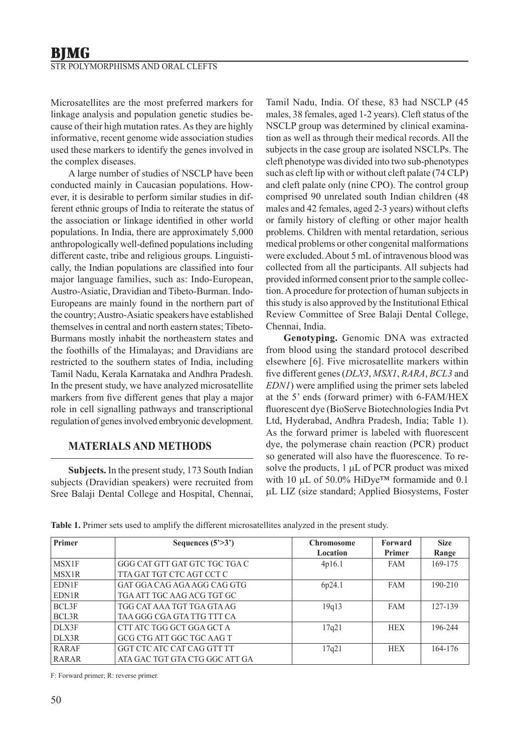Microsatellites are the most preferred markers for linkage analysis and population genetic studies because of their high mutation rates. As they are highly informative, recent genome wide association studies used these markers to identify the genes involved in the complex diseases.

A large number of studies of NSCLP have been conducted mainly in Caucasian populations. However, it is desirable to perform similar studies in different ethnic groups of India to reiterate the status of the association or linkage identified in other world populations. In India, there are approximately 5,000 anthropologically well-defined populations including different caste, tribe and religious groups. Linguistically, the Indian populations are classified into four major language families, such as: Indo-European, Austro-Asiatic, Dravidian and Tibeto-Burman. Indo-Europeans are mainly found in the northern part of the country; Austro-Asiatic speakers have established themselves in central and north eastern states; Tibeto-Burmans mostly inhabit the northeastern states and the foothills of the Himalayas; and Dravidians are restricted to the southern states of India, including Tamil Nadu, Kerala Karnataka and Andhra Pradesh. In the present study, we have analyzed microsatellite markers from five different genes that play a major role in cell signalling pathways and transcriptional regulation of genes involved embryonic development.

## **MATERIALS AND METHODS**

**Subjects.** In the present study, 173 South Indian subjects (Dravidian speakers) were recruited from Sree Balaji Dental College and Hospital, Chennai, Tamil Nadu, India. Of these, 83 had NSCLP (45 males, 38 females, aged 1-2 years). Cleft status of the NSCLP group was determined by clinical examination as well as through their medical records. All the subjects in the case group are isolated NSCLPs. The cleft phenotype was divided into two sub-phenotypes such as cleft lip with or without cleft palate (74 CLP) and cleft palate only (nine CPO). The control group comprised 90 unrelated south Indian children (48 males and 42 females, aged 2-3 years) without clefts or family history of clefting or other major health problems. Children with mental retardation, serious medical problems or other congenital malformations were excluded. About 5 mL of intravenous blood was collected from all the participants. All subjects had provided informed consent prior to the sample collection. A procedure for protection of human subjects in this study is also approved by the Institutional Ethical Review Committee of Sree Balaji Dental College, Chennai, India.

**Genotyping.** Genomic DNA was extracted from blood using the standard protocol described elsewhere [6]. Five microsatellite markers within five different genes (*DLX3*, *MSX1*, *RARA*, *BCL3* and *EDN1*) were amplified using the primer sets labeled at the 5' ends (forward primer) with 6-FAM/HEX fluorescent dye (BioServe Biotechnologies India Pvt Ltd, Hyderabad, Andhra Pradesh, India; Table 1). As the forward primer is labeled with fluorescent dye, the polymerase chain reaction (PCR) product so generated will also have the fluorescence. To resolve the products,  $1 \mu L$  of PCR product was mixed with 10  $\mu$ L of 50.0% HiDye<sup>TM</sup> formamide and 0.1 mL LIZ (size standard; Applied Biosystems, Foster

| Primer       | Sequences $(5'$ >3')           | <b>Chromosome</b> | Forward       | <b>Size</b> |
|--------------|--------------------------------|-------------------|---------------|-------------|
|              |                                | Location          | <b>Primer</b> | Range       |
| MSX1F        | GGG CAT GTT GAT GTC TGC TGA C  | 4p16.1            | <b>FAM</b>    | 169-175     |
| MSX1R        | TTA GAT TGT CTC AGT CCT C      |                   |               |             |
| <b>EDN1F</b> | GAT GGA CAG AGA AGG CAG GTG    | 6p24.1            | <b>FAM</b>    | $190 - 210$ |
| EDN1R        | TGA ATT TGC AAG ACG TGT GC     |                   |               |             |
| BCL3F        | TGG CAT AAA TGT TGA GTA AG     | 19q13             | <b>FAM</b>    | 127-139     |
| BCL3R        | TAA GGG CGA GTA TTG TTT CA     |                   |               |             |
| DLX3F        | CTT ATC TGG GCT GGA GCT A      | 17q21             | <b>HEX</b>    | 196-244     |
| DLX3R        | GCG CTG ATT GGC TGC AAG T      |                   |               |             |
| RARAF        | GGT CTC ATC CAT CAG GTT TT     | 17q21             | <b>HEX</b>    | 164-176     |
| <b>RARAR</b> | ATA GAC TGT GTA CTG GGC ATT GA |                   |               |             |

**Table 1.** Primer sets used to amplify the different microsatellites analyzed in the present study.

F: Forward primer; R: reverse primer.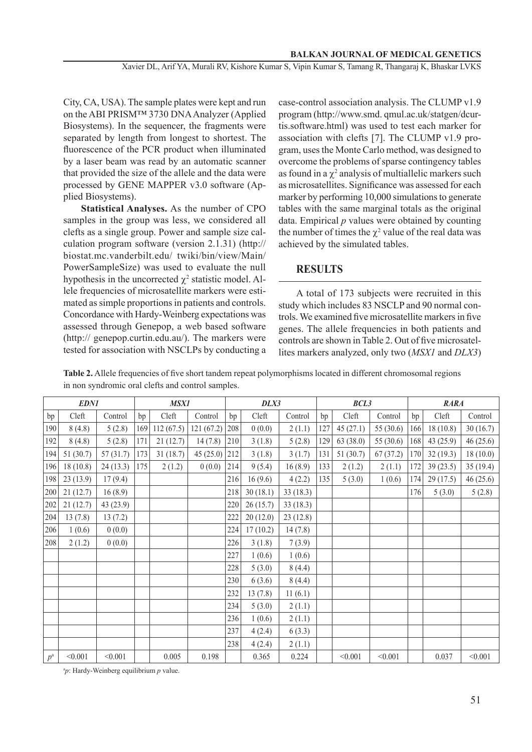Xavier DL, Arif YA, Murali RV, Kishore Kumar S, Vipin Kumar S, Tamang R, Thangaraj K, Bhaskar LVKS

City, CA, USA). The sample plates were kept and run on the ABI PRISM™ 3730 DNA Analyzer (Applied Biosystems). In the sequencer, the fragments were separated by length from longest to shortest. The fluorescence of the PCR product when illuminated by a laser beam was read by an automatic scanner that provided the size of the allele and the data were processed by GENE MAPPER v3.0 software (Applied Biosystems).

**Statistical Analyses.** As the number of CPO samples in the group was less, we considered all clefts as a single group. Power and sample size calculation program software (version 2.1.31) (http:// biostat.mc.vanderbilt.edu/ twiki/bin/view/Main/ PowerSampleSize) was used to evaluate the null hypothesis in the uncorrected  $\chi^2$  statistic model. Allele frequencies of microsatellite markers were estimated as simple proportions in patients and controls. Concordance with Hardy-Weinberg expectations was assessed through Genepop, a web based software (http:// genepop.curtin.edu.au/). The markers were tested for association with NSCLPs by conducting a

case-control association analysis. The CLUMP v1.9 program (http://www.smd. qmul.ac.uk/statgen/dcurtis.software.html) was used to test each marker for association with clefts [7]. The CLUMP v1.9 program, uses the Monte Carlo method, was designed to overcome the problems of sparse contingency tables as found in a  $\chi^2$  analysis of multiallelic markers such as microsatellites. Significance was assessed for each marker by performing 10,000 simulations to generate tables with the same marginal totals as the original data. Empirical *p* values were obtained by counting the number of times the  $\chi^2$  value of the real data was achieved by the simulated tables.

### **RESULTS**

A total of 173 subjects were recruited in this study which includes 83 NSCLP and 90 normal controls. We examined five microsatellite markers in five genes. The allele frequencies in both patients and controls are shown in Table 2. Out of five microsatellites markers analyzed, only two (*MSX1* and *DLX3*)

**Table 2.** Allele frequencies of five short tandem repeat polymorphisms located in different chromosomal regions in non syndromic oral clefts and control samples.

| <b>EDN1</b> |          | <b>MSX1</b> |     | DLX3      |           | BCL3 |          |          | <b>RARA</b> |           |           |     |          |           |
|-------------|----------|-------------|-----|-----------|-----------|------|----------|----------|-------------|-----------|-----------|-----|----------|-----------|
| bp          | Cleft    | Control     | bp  | Cleft     | Control   | bp   | Cleft    | Control  | bp          | Cleft     | Control   | bp  | Cleft    | Control   |
| 190         | 8(4.8)   | 5(2.8)      | 169 | 112(67.5) | 121(67.2) | 208  | 0(0.0)   | 2(1.1)   | 127         | 45(27.1)  | 55 (30.6) | 166 | 18(10.8) | 30(16.7)  |
| 192         | 8(4.8)   | 5(2.8)      | 171 | 21(12.7)  | 14(7.8)   | 210  | 3(1.8)   | 5(2.8)   | 129         | 63 (38.0) | 55 (30.6) | 168 | 43(25.9) | 46 (25.6) |
| 194         | 51(30.7) | 57(31.7)    | 173 | 31(18.7)  | 45(25.0)  | 212  | 3(1.8)   | 3(1.7)   | 131         | 51(30.7)  | 67(37.2)  | 170 | 32(19.3) | 18(10.0)  |
| 196         | 18(10.8) | 24(13.3)    | 175 | 2(1.2)    | 0(0.0)    | 214  | 9(5.4)   | 16(8.9)  | 133         | 2(1.2)    | 2(1.1)    | 172 | 39(23.5) | 35(19.4)  |
| 198         | 23(13.9) | 17(9.4)     |     |           |           | 216  | 16(9.6)  | 4(2.2)   | 135         | 5(3.0)    | 1(0.6)    | 174 | 29(17.5) | 46 (25.6) |
| 200         | 21(12.7) | 16(8.9)     |     |           |           | 218  | 30(18.1) | 33(18.3) |             |           |           | 176 | 5(3.0)   | 5(2.8)    |
| 202         | 21(12.7) | 43(23.9)    |     |           |           | 220  | 26(15.7) | 33(18.3) |             |           |           |     |          |           |
| 204         | 13(7.8)  | 13(7.2)     |     |           |           | 222  | 20(12.0) | 23(12.8) |             |           |           |     |          |           |
| 206         | 1(0.6)   | 0(0.0)      |     |           |           | 224  | 17(10.2) | 14(7.8)  |             |           |           |     |          |           |
| 208         | 2(1.2)   | 0(0.0)      |     |           |           | 226  | 3(1.8)   | 7(3.9)   |             |           |           |     |          |           |
|             |          |             |     |           |           | 227  | 1(0.6)   | 1(0.6)   |             |           |           |     |          |           |
|             |          |             |     |           |           | 228  | 5(3.0)   | 8(4.4)   |             |           |           |     |          |           |
|             |          |             |     |           |           | 230  | 6(3.6)   | 8(4.4)   |             |           |           |     |          |           |
|             |          |             |     |           |           | 232  | 13(7.8)  | 11(6.1)  |             |           |           |     |          |           |
|             |          |             |     |           |           | 234  | 5(3.0)   | 2(1.1)   |             |           |           |     |          |           |
|             |          |             |     |           |           | 236  | 1(0.6)   | 2(1.1)   |             |           |           |     |          |           |
|             |          |             |     |           |           | 237  | 4(2.4)   | 6(3.3)   |             |           |           |     |          |           |
|             |          |             |     |           |           | 238  | 4(2.4)   | 2(1.1)   |             |           |           |     |          |           |
| $p^{\rm a}$ | < 0.001  | < 0.001     |     | 0.005     | 0.198     |      | 0.365    | 0.224    |             | < 0.001   | < 0.001   |     | 0.037    | < 0.001   |

a*p*: Hardy-Weinberg equilibrium *p* value.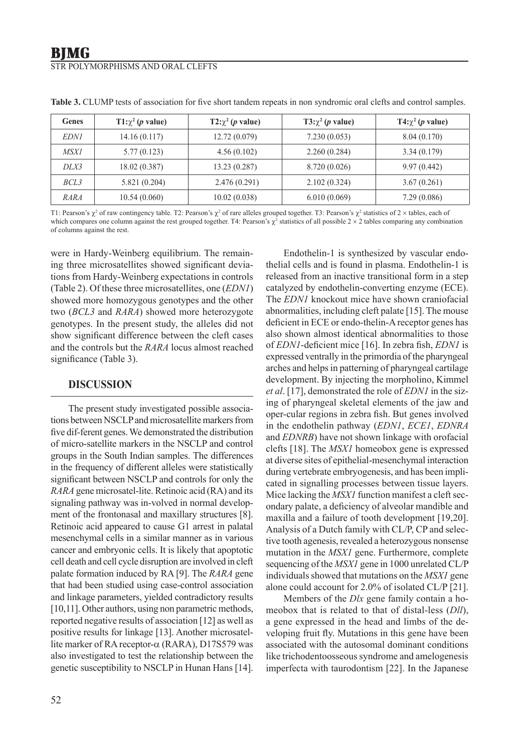### STR POLYMORPHISMS AND ORAL CLEFTS

| Genes       | $T1:\chi^2(p \text{ value})$ | $T2:\chi^2(p \text{ value})$ | T3: $\chi^2$ ( <i>p</i> value) | $T4:\chi^2(p \text{ value})$ |
|-------------|------------------------------|------------------------------|--------------------------------|------------------------------|
| <i>EDNI</i> | 14.16(0.117)                 | 12.72(0.079)                 | 7.230(0.053)                   | 8.04(0.170)                  |
| <i>MSX1</i> | 5.77(0.123)                  | 4.56(0.102)                  | 2.260(0.284)                   | 3.34(0.179)                  |
| DLX3        | 18.02(0.387)                 | 13.23 (0.287)                | 8.720 (0.026)                  | 9.97(0.442)                  |
| BCL3        | 5.821(0.204)                 | 2.476(0.291)                 | 2.102(0.324)                   | 3.67(0.261)                  |
| RARA        | 10.54(0.060)                 | 10.02(0.038)                 | 6.010(0.069)                   | 7.29(0.086)                  |

**Table 3.** CLUMP tests of association for five short tandem repeats in non syndromic oral clefts and control samples.

T1: Pearson's  $\chi^2$  of raw contingency table. T2: Pearson's  $\chi^2$  of rare alleles grouped together. T3: Pearson's  $\chi^2$  statistics of 2 × tables, each of which compares one column against the rest grouped together. T4: Pearson's  $\chi^2$  statistics of all possible  $2 \times 2$  tables comparing any combination of columns against the rest.

were in Hardy-Weinberg equilibrium. The remaining three microsatellites showed significant deviations from Hardy-Weinberg expectations in controls (Table 2). Of these three microsatellites, one (*EDN1*) showed more homozygous genotypes and the other two (*BCL3* and *RARA*) showed more heterozygote genotypes. In the present study, the alleles did not show significant difference between the cleft cases and the controls but the *RARA* locus almost reached significance (Table 3).

#### **DISCUSSION**

The present study investigated possible associations between NSCLP and microsatellite markers from five dif-ferent genes. We demonstrated the distribution of micro-satellite markers in the NSCLP and control groups in the South Indian samples. The differences in the frequency of different alleles were statistically significant between NSCLP and controls for only the *RARA* gene microsatel-lite. Retinoic acid (RA) and its signaling pathway was in-volved in normal development of the frontonasal and maxillary structures [8]. Retinoic acid appeared to cause G1 arrest in palatal mesenchymal cells in a similar manner as in various cancer and embryonic cells. It is likely that apoptotic cell death and cell cycle disruption are involved in cleft palate formation induced by RA [9]. The *RARA* gene that had been studied using case-control association and linkage parameters, yielded contradictory results [10,11]. Other authors, using non parametric methods, reported negative results of association [12] as well as positive results for linkage [13]. Another microsatellite marker of RA receptor- $\alpha$  (RARA), D17S579 was also investigated to test the relationship between the genetic susceptibility to NSCLP in Hunan Hans [14].

Endothelin-1 is synthesized by vascular endothelial cells and is found in plasma. Endothelin-1 is released from an inactive transitional form in a step catalyzed by endothelin-converting enzyme (ECE). The *EDN1* knockout mice have shown craniofacial abnormalities, including cleft palate [15]. The mouse deficient in ECE or endo-thelin-A receptor genes has also shown almost identical abnormalities to those of *EDN1*-deficient mice [16]. In zebra fish, *EDN1* is expressed ventrally in the primordia of the pharyngeal arches and helps in patterning of pharyngeal cartilage development. By injecting the morpholino, Kimmel *et al*. [17], demonstrated the role of *EDN1* in the sizing of pharyngeal skeletal elements of the jaw and oper-cular regions in zebra fish. But genes involved in the endothelin pathway (*EDN1*, *ECE1*, *EDNRA*  and *EDNRB*) have not shown linkage with orofacial clefts [18]. The *MSX1* homeobox gene is expressed at diverse sites of epithelial-mesenchymal interaction during vertebrate embryogenesis, and has been implicated in signalling processes between tissue layers. Mice lacking the *MSX1* function manifest a cleft secondary palate, a deficiency of alveolar mandible and maxilla and a failure of tooth development [19,20]. Analysis of a Dutch family with CL/P, CP and selective tooth agenesis, revealed a heterozygous nonsense mutation in the *MSX1* gene. Furthermore, complete sequencing of the *MSX1* gene in 1000 unrelated CL/P individuals showed that mutations on the *MSX1* gene alone could account for 2.0% of isolated CL/P [21].

Members of the *Dlx* gene family contain a homeobox that is related to that of distal-less (*Dll*), a gene expressed in the head and limbs of the developing fruit fly. Mutations in this gene have been associated with the autosomal dominant conditions like trichodentoosseous syndrome and amelogenesis imperfecta with taurodontism [22]. In the Japanese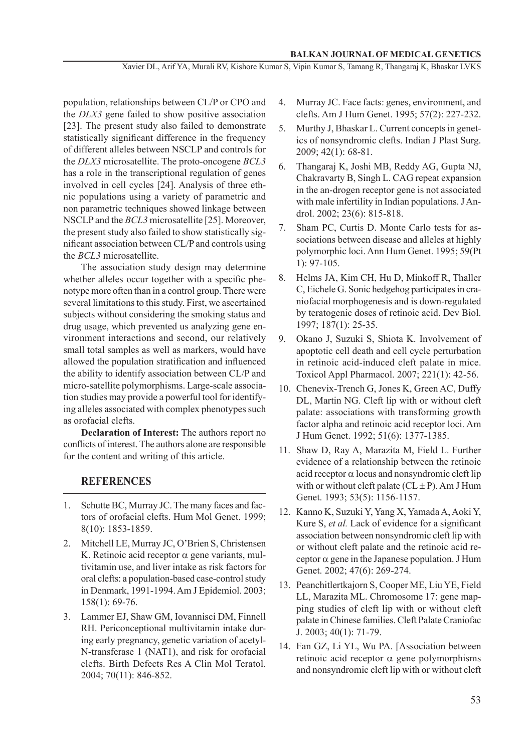Xavier DL, Arif YA, Murali RV, Kishore Kumar S, Vipin Kumar S, Tamang R, Thangaraj K, Bhaskar LVKS

population, relationships between CL/P or CPO and the *DLX3* gene failed to show positive association [23]. The present study also failed to demonstrate statistically significant difference in the frequency of different alleles between NSCLP and controls for the *DLX3* microsatellite. The proto-oncogene *BCL3* has a role in the transcriptional regulation of genes involved in cell cycles [24]. Analysis of three ethnic populations using a variety of parametric and non parametric techniques showed linkage between NSCLP and the *BCL3* microsatellite [25]. Moreover, the present study also failed to show statistically significant association between CL/P and controls using the *BCL3* microsatellite.

The association study design may determine whether alleles occur together with a specific phenotype more often than in a control group. There were several limitations to this study. First, we ascertained subjects without considering the smoking status and drug usage, which prevented us analyzing gene environment interactions and second, our relatively small total samples as well as markers, would have allowed the population stratification and influenced the ability to identify association between CL/P and micro-satellite polymorphisms. Large-scale association studies may provide a powerful tool for identifying alleles associated with complex phenotypes such as orofacial clefts.

**Declaration of Interest:** The authors report no conflicts of interest. The authors alone are responsible for the content and writing of this article.

#### **REFERENCES**

- 1. Schutte BC, Murray JC. The many faces and factors of orofacial clefts. Hum Mol Genet. 1999; 8(10): 1853-1859.
- 2. Mitchell LE, Murray JC, O'Brien S, Christensen K. Retinoic acid receptor  $\alpha$  gene variants, multivitamin use, and liver intake as risk factors for oral clefts: a population-based case-control study in Denmark, 1991-1994. Am J Epidemiol. 2003; 158(1): 69-76.
- 3. Lammer EJ, Shaw GM, Iovannisci DM, Finnell RH. Periconceptional multivitamin intake during early pregnancy, genetic variation of acetyl-N-transferase 1 (NAT1), and risk for orofacial clefts. Birth Defects Res A Clin Mol Teratol. 2004; 70(11): 846-852.
- 4. Murray JC. Face facts: genes, environment, and clefts. Am J Hum Genet. 1995; 57(2): 227-232.
- 5. Murthy J, Bhaskar L. Current concepts in genetics of nonsyndromic clefts. Indian J Plast Surg. 2009; 42(1): 68-81.
- 6. Thangaraj K, Joshi MB, Reddy AG, Gupta NJ, Chakravarty B, Singh L. CAG repeat expansion in the an-drogen receptor gene is not associated with male infertility in Indian populations. J Androl. 2002; 23(6): 815-818.
- 7. Sham PC, Curtis D. Monte Carlo tests for associations between disease and alleles at highly polymorphic loci. Ann Hum Genet. 1995; 59(Pt 1): 97-105.
- 8. Helms JA, Kim CH, Hu D, Minkoff R, Thaller C, Eichele G. Sonic hedgehog participates in craniofacial morphogenesis and is down-regulated by teratogenic doses of retinoic acid. Dev Biol. 1997; 187(1): 25-35.
- 9. Okano J, Suzuki S, Shiota K. Involvement of apoptotic cell death and cell cycle perturbation in retinoic acid-induced cleft palate in mice. Toxicol Appl Pharmacol. 2007; 221(1): 42-56.
- 10. Chenevix-Trench G, Jones K, Green AC, Duffy DL, Martin NG. Cleft lip with or without cleft palate: associations with transforming growth factor alpha and retinoic acid receptor loci. Am J Hum Genet. 1992; 51(6): 1377-1385.
- 11. Shaw D, Ray A, Marazita M, Field L. Further evidence of a relationship between the retinoic acid receptor  $\alpha$  locus and nonsyndromic cleft lip with or without cleft palate  $(CL \pm P)$ . Am J Hum Genet. 1993; 53(5): 1156-1157.
- 12. Kanno K, Suzuki Y, Yang X, Yamada A, Aoki Y, Kure S, *et al.* Lack of evidence for a significant association between nonsyndromic cleft lip with or without cleft palate and the retinoic acid receptor  $\alpha$  gene in the Japanese population. J Hum Genet. 2002; 47(6): 269-274.
- 13. Peanchitlertkajorn S, Cooper ME, Liu YE, Field LL, Marazita ML. Chromosome 17: gene mapping studies of cleft lip with or without cleft palate in Chinese families. Cleft Palate Craniofac J. 2003; 40(1): 71-79.
- 14. Fan GZ, Li YL, Wu PA. [Association between retinoic acid receptor  $\alpha$  gene polymorphisms and nonsyndromic cleft lip with or without cleft